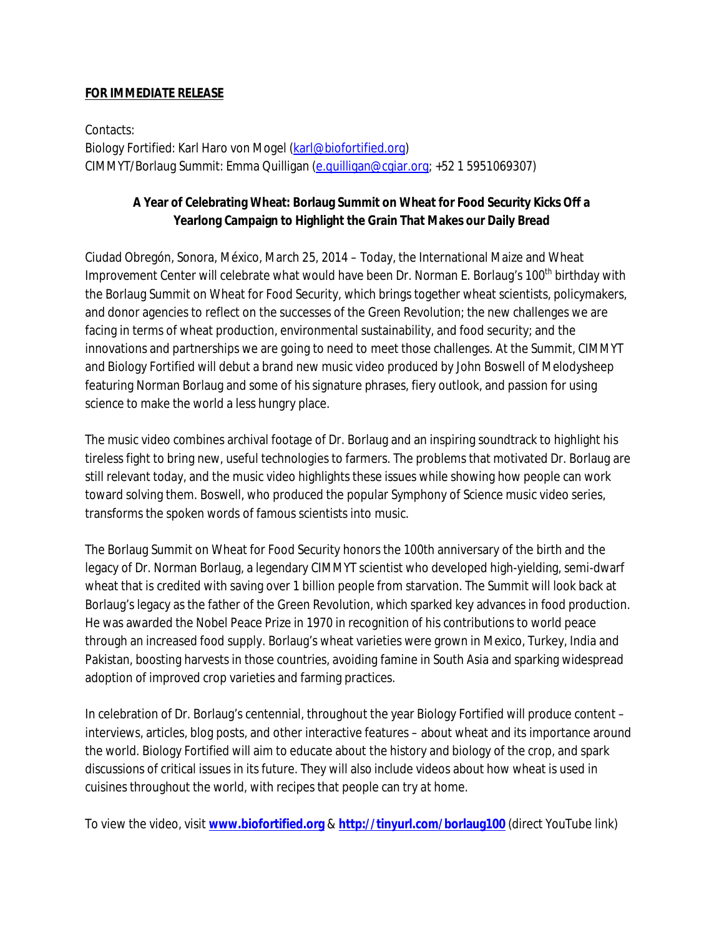## **FOR IMMEDIATE RELEASE**

Contacts: Biology Fortified: Karl Haro von Mogel (karl@biofortified.org) CIMMYT/Borlaug Summit: Emma Quilligan (e.quilligan@cgiar.org; +52 1 5951069307)

# **A Year of Celebrating Wheat: Borlaug Summit on Wheat for Food Security Kicks Off a Yearlong Campaign to Highlight the Grain That Makes our Daily Bread**

Ciudad Obregón, Sonora, México, March 25, 2014 – Today, the International Maize and Wheat Improvement Center will celebrate what would have been Dr. Norman E. Borlaug's 100<sup>th</sup> birthday with the Borlaug Summit on Wheat for Food Security, which brings together wheat scientists, policymakers, and donor agencies to reflect on the successes of the Green Revolution; the new challenges we are facing in terms of wheat production, environmental sustainability, and food security; and the innovations and partnerships we are going to need to meet those challenges. At the Summit, CIMMYT and Biology Fortified will debut a brand new music video produced by John Boswell of Melodysheep featuring Norman Borlaug and some of his signature phrases, fiery outlook, and passion for using science to make the world a less hungry place.

The music video combines archival footage of Dr. Borlaug and an inspiring soundtrack to highlight his tireless fight to bring new, useful technologies to farmers. The problems that motivated Dr. Borlaug are still relevant today, and the music video highlights these issues while showing how people can work toward solving them. Boswell, who produced the popular Symphony of Science music video series, transforms the spoken words of famous scientists into music.

The Borlaug Summit on Wheat for Food Security honors the 100th anniversary of the birth and the legacy of Dr. Norman Borlaug, a legendary CIMMYT scientist who developed high-yielding, semi-dwarf wheat that is credited with saving over 1 billion people from starvation. The Summit will look back at Borlaug's legacy as the father of the Green Revolution, which sparked key advances in food production. He was awarded the Nobel Peace Prize in 1970 in recognition of his contributions to world peace through an increased food supply. Borlaug's wheat varieties were grown in Mexico, Turkey, India and Pakistan, boosting harvests in those countries, avoiding famine in South Asia and sparking widespread adoption of improved crop varieties and farming practices.

In celebration of Dr. Borlaug's centennial, throughout the year Biology Fortified will produce content – interviews, articles, blog posts, and other interactive features – about wheat and its importance around the world. Biology Fortified will aim to educate about the history and biology of the crop, and spark discussions of critical issues in its future. They will also include videos about how wheat is used in cuisines throughout the world, with recipes that people can try at home.

To view the video, visit **www.biofortified.org** & **http://tinyurl.com/borlaug100** (direct YouTube link)